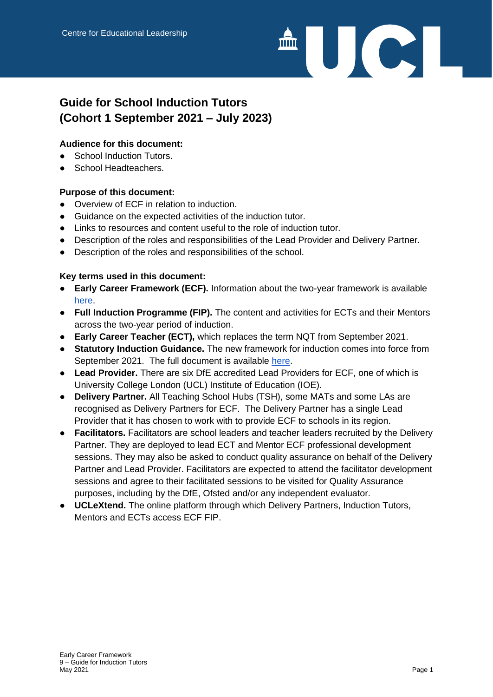

# **Guide for School Induction Tutors (Cohort 1 September 2021 – July 2023)**

#### **Audience for this document:**

- School Induction Tutors.
- School Headteachers.

#### **Purpose of this document:**

- Overview of ECF in relation to induction.
- Guidance on the expected activities of the induction tutor.
- Links to resources and content useful to the role of induction tutor.
- Description of the roles and responsibilities of the Lead Provider and Delivery Partner.
- Description of the roles and responsibilities of the school.

#### **Key terms used in this document:**

- **Early Career Framework (ECF).** Information about the two-year framework is available [here.](https://www.gov.uk/government/publications/early-career-framework-reforms-overview/early-career-framework-reforms-overview)
- **Full Induction Programme (FIP).** The content and activities for ECTs and their Mentors across the two-year period of induction.
- **Early Career Teacher (ECT),** which replaces the term NQT from September 2021.
- **Statutory Induction Guidance.** The new framework for induction comes into force from September 2021. The full document is available [here.](https://assets.publishing.service.gov.uk/government/uploads/system/uploads/attachment_data/file/972316/Statutory_Induction_Guidance_2021_final__002_____1___1_.pdf)
- **Lead Provider.** There are six DfE accredited Lead Providers for ECF, one of which is University College London (UCL) Institute of Education (IOE).
- **Delivery Partner.** All Teaching School Hubs (TSH), some MATs and some LAs are recognised as Delivery Partners for ECF. The Delivery Partner has a single Lead Provider that it has chosen to work with to provide ECF to schools in its region.
- **Facilitators.** Facilitators are school leaders and teacher leaders recruited by the Delivery Partner. They are deployed to lead ECT and Mentor ECF professional development sessions. They may also be asked to conduct quality assurance on behalf of the Delivery Partner and Lead Provider. Facilitators are expected to attend the facilitator development sessions and agree to their facilitated sessions to be visited for Quality Assurance purposes, including by the DfE, Ofsted and/or any independent evaluator.
- **UCLeXtend.** The online platform through which Delivery Partners, Induction Tutors, Mentors and ECTs access ECF FIP.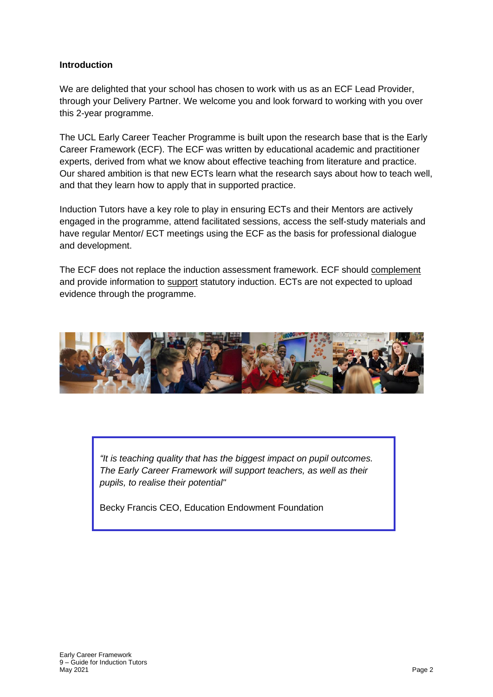#### **Introduction**

We are delighted that your school has chosen to work with us as an ECF Lead Provider, through your Delivery Partner. We welcome you and look forward to working with you over this 2-year programme.

The UCL Early Career Teacher Programme is built upon the research base that is the Early Career Framework (ECF). The ECF was written by educational academic and practitioner experts, derived from what we know about effective teaching from literature and practice. Our shared ambition is that new ECTs learn what the research says about how to teach well, and that they learn how to apply that in supported practice.

Induction Tutors have a key role to play in ensuring ECTs and their Mentors are actively engaged in the programme, attend facilitated sessions, access the self-study materials and have regular Mentor/ ECT meetings using the ECF as the basis for professional dialogue and development.

The ECF does not replace the induction assessment framework. ECF should complement and provide information to support statutory induction. ECTs are not expected to upload evidence through the programme.



*"It is teaching quality that has the biggest impact on pupil outcomes. The Early Career Framework will support teachers, as well as their pupils, to realise their potential"*

Becky Francis CEO, Education Endowment Foundation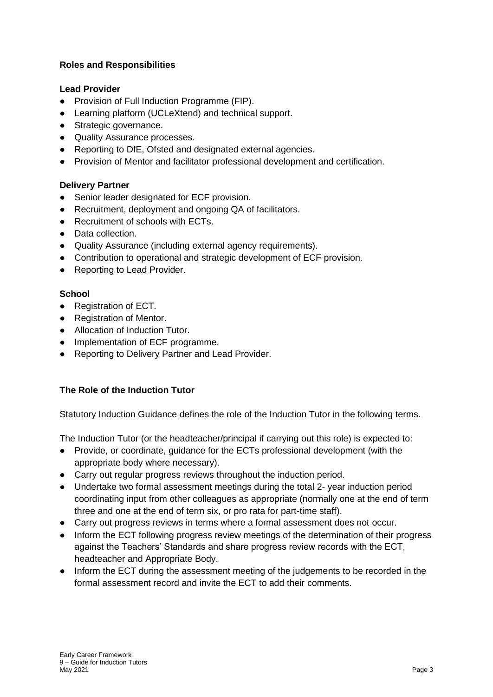#### **Roles and Responsibilities**

#### **Lead Provider**

- Provision of Full Induction Programme (FIP).
- Learning platform (UCLeXtend) and technical support.
- Strategic governance.
- Quality Assurance processes.
- Reporting to DfE, Ofsted and designated external agencies.
- Provision of Mentor and facilitator professional development and certification.

#### **Delivery Partner**

- Senior leader designated for ECF provision.
- Recruitment, deployment and ongoing QA of facilitators.
- Recruitment of schools with ECTs.
- Data collection.
- Quality Assurance (including external agency requirements).
- Contribution to operational and strategic development of ECF provision.
- Reporting to Lead Provider.

#### **School**

- Registration of ECT.
- Registration of Mentor.
- Allocation of Induction Tutor.
- Implementation of ECF programme.
- Reporting to Delivery Partner and Lead Provider.

#### **The Role of the Induction Tutor**

Statutory Induction Guidance defines the role of the Induction Tutor in the following terms.

The Induction Tutor (or the headteacher/principal if carrying out this role) is expected to:

- Provide, or coordinate, guidance for the ECTs professional development (with the appropriate body where necessary).
- Carry out regular progress reviews throughout the induction period.
- Undertake two formal assessment meetings during the total 2- year induction period coordinating input from other colleagues as appropriate (normally one at the end of term three and one at the end of term six, or pro rata for part-time staff).
- Carry out progress reviews in terms where a formal assessment does not occur.
- Inform the ECT following progress review meetings of the determination of their progress against the Teachers' Standards and share progress review records with the ECT, headteacher and Appropriate Body.
- Inform the ECT during the assessment meeting of the judgements to be recorded in the formal assessment record and invite the ECT to add their comments.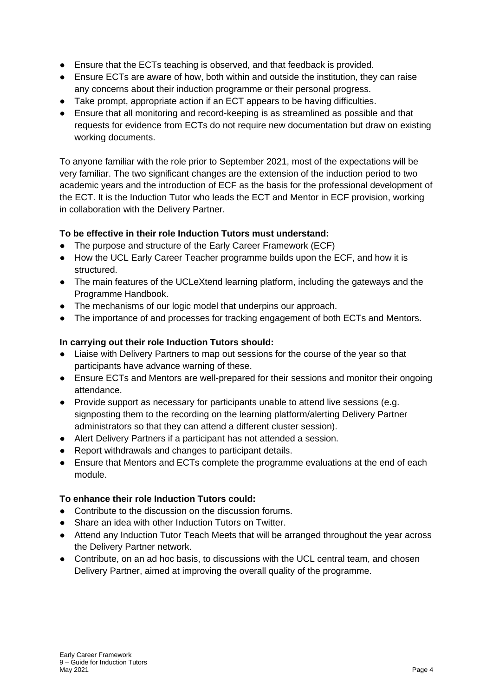- Ensure that the ECTs teaching is observed, and that feedback is provided.
- Ensure ECTs are aware of how, both within and outside the institution, they can raise any concerns about their induction programme or their personal progress.
- Take prompt, appropriate action if an ECT appears to be having difficulties.
- Ensure that all monitoring and record-keeping is as streamlined as possible and that requests for evidence from ECTs do not require new documentation but draw on existing working documents.

To anyone familiar with the role prior to September 2021, most of the expectations will be very familiar. The two significant changes are the extension of the induction period to two academic years and the introduction of ECF as the basis for the professional development of the ECT. It is the Induction Tutor who leads the ECT and Mentor in ECF provision, working in collaboration with the Delivery Partner.

#### **To be effective in their role Induction Tutors must understand:**

- The purpose and structure of the Early Career Framework (ECF)
- How the UCL Early Career Teacher programme builds upon the ECF, and how it is structured.
- The main features of the UCLeXtend learning platform, including the gateways and the Programme Handbook.
- The mechanisms of our logic model that underpins our approach.
- The importance of and processes for tracking engagement of both ECTs and Mentors.

#### **In carrying out their role Induction Tutors should:**

- Liaise with Delivery Partners to map out sessions for the course of the year so that participants have advance warning of these.
- Ensure ECTs and Mentors are well-prepared for their sessions and monitor their ongoing attendance.
- Provide support as necessary for participants unable to attend live sessions (e.g. signposting them to the recording on the learning platform/alerting Delivery Partner administrators so that they can attend a different cluster session).
- Alert Delivery Partners if a participant has not attended a session.
- Report withdrawals and changes to participant details.
- Ensure that Mentors and ECTs complete the programme evaluations at the end of each module.

#### **To enhance their role Induction Tutors could:**

- Contribute to the discussion on the discussion forums.
- Share an idea with other Induction Tutors on Twitter.
- Attend any Induction Tutor Teach Meets that will be arranged throughout the year across the Delivery Partner network.
- Contribute, on an ad hoc basis, to discussions with the UCL central team, and chosen Delivery Partner, aimed at improving the overall quality of the programme.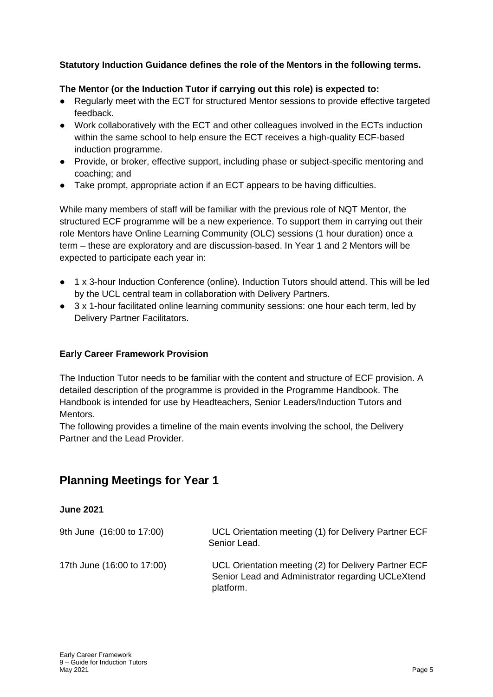#### **Statutory Induction Guidance defines the role of the Mentors in the following terms.**

#### **The Mentor (or the Induction Tutor if carrying out this role) is expected to:**

- Regularly meet with the ECT for structured Mentor sessions to provide effective targeted feedback.
- Work collaboratively with the ECT and other colleagues involved in the ECTs induction within the same school to help ensure the ECT receives a high-quality ECF-based induction programme.
- Provide, or broker, effective support, including phase or subject-specific mentoring and coaching; and
- Take prompt, appropriate action if an ECT appears to be having difficulties.

While many members of staff will be familiar with the previous role of NQT Mentor, the structured ECF programme will be a new experience. To support them in carrying out their role Mentors have Online Learning Community (OLC) sessions (1 hour duration) once a term – these are exploratory and are discussion-based. In Year 1 and 2 Mentors will be expected to participate each year in:

- 1 x 3-hour Induction Conference (online). Induction Tutors should attend. This will be led by the UCL central team in collaboration with Delivery Partners.
- 3 x 1-hour facilitated online learning community sessions: one hour each term, led by Delivery Partner Facilitators.

#### **Early Career Framework Provision**

The Induction Tutor needs to be familiar with the content and structure of ECF provision. A detailed description of the programme is provided in the Programme Handbook. The Handbook is intended for use by Headteachers, Senior Leaders/Induction Tutors and Mentors.

The following provides a timeline of the main events involving the school, the Delivery Partner and the Lead Provider.

## **Planning Meetings for Year 1**

#### **June 2021**

| 9th June (16:00 to 17:00)  | UCL Orientation meeting (1) for Delivery Partner ECF<br>Senior Lead.                                                   |
|----------------------------|------------------------------------------------------------------------------------------------------------------------|
| 17th June (16:00 to 17:00) | UCL Orientation meeting (2) for Delivery Partner ECF<br>Senior Lead and Administrator regarding UCLeXtend<br>platform. |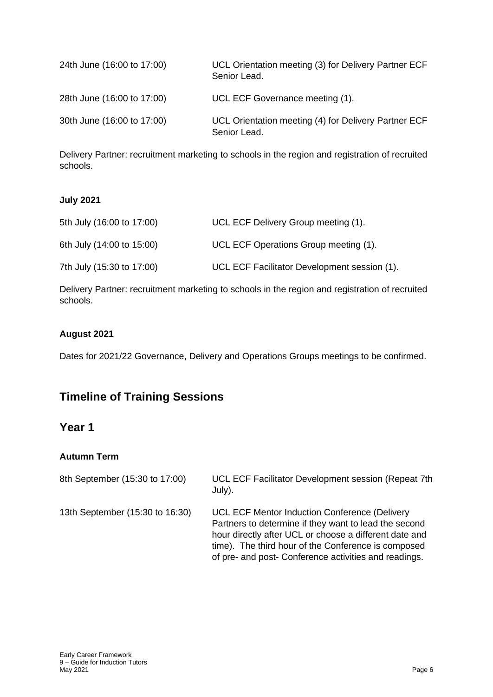| 24th June (16:00 to 17:00) | UCL Orientation meeting (3) for Delivery Partner ECF<br>Senior Lead. |
|----------------------------|----------------------------------------------------------------------|
| 28th June (16:00 to 17:00) | UCL ECF Governance meeting (1).                                      |
| 30th June (16:00 to 17:00) | UCL Orientation meeting (4) for Delivery Partner ECF<br>Senior Lead. |

Delivery Partner: recruitment marketing to schools in the region and registration of recruited schools.

#### **July 2021**

| 5th July (16:00 to 17:00) | UCL ECF Delivery Group meeting (1).          |
|---------------------------|----------------------------------------------|
| 6th July (14:00 to 15:00) | UCL ECF Operations Group meeting (1).        |
| 7th July (15:30 to 17:00) | UCL ECF Facilitator Development session (1). |

Delivery Partner: recruitment marketing to schools in the region and registration of recruited schools.

#### **August 2021**

Dates for 2021/22 Governance, Delivery and Operations Groups meetings to be confirmed.

# **Timeline of Training Sessions**

## **Year 1**

#### **Autumn Term**

| 8th September (15:30 to 17:00)  | UCL ECF Facilitator Development session (Repeat 7th<br>July).                                                                                                                                                                                                                    |
|---------------------------------|----------------------------------------------------------------------------------------------------------------------------------------------------------------------------------------------------------------------------------------------------------------------------------|
| 13th September (15:30 to 16:30) | UCL ECF Mentor Induction Conference (Delivery<br>Partners to determine if they want to lead the second<br>hour directly after UCL or choose a different date and<br>time). The third hour of the Conference is composed<br>of pre- and post- Conference activities and readings. |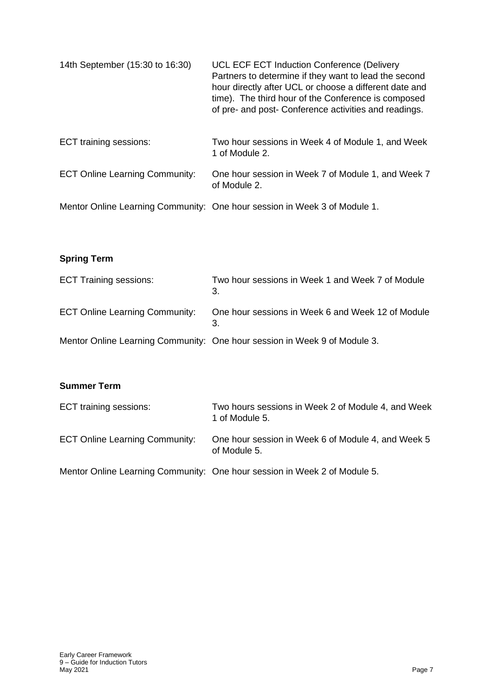| 14th September (15:30 to 16:30)       | UCL ECF ECT Induction Conference (Delivery<br>Partners to determine if they want to lead the second<br>hour directly after UCL or choose a different date and<br>time). The third hour of the Conference is composed<br>of pre- and post- Conference activities and readings. |
|---------------------------------------|-------------------------------------------------------------------------------------------------------------------------------------------------------------------------------------------------------------------------------------------------------------------------------|
| ECT training sessions:                | Two hour sessions in Week 4 of Module 1, and Week<br>1 of Module 2.                                                                                                                                                                                                           |
| <b>ECT Online Learning Community:</b> | One hour session in Week 7 of Module 1, and Week 7<br>of Module 2.                                                                                                                                                                                                            |
|                                       | Mentor Online Learning Community: One hour session in Week 3 of Module 1.                                                                                                                                                                                                     |

## **Spring Term**

| <b>ECT Training sessions:</b>         | Two hour sessions in Week 1 and Week 7 of Module<br>3.                    |
|---------------------------------------|---------------------------------------------------------------------------|
| <b>ECT Online Learning Community:</b> | One hour sessions in Week 6 and Week 12 of Module                         |
|                                       | Mentor Online Learning Community: One hour session in Week 9 of Module 3. |

### **Summer Term**

| ECT training sessions:                | Two hours sessions in Week 2 of Module 4, and Week<br>1 of Module 5.      |
|---------------------------------------|---------------------------------------------------------------------------|
| <b>ECT Online Learning Community:</b> | One hour session in Week 6 of Module 4, and Week 5<br>of Module 5.        |
|                                       | Mentor Online Learning Community: One hour session in Week 2 of Module 5. |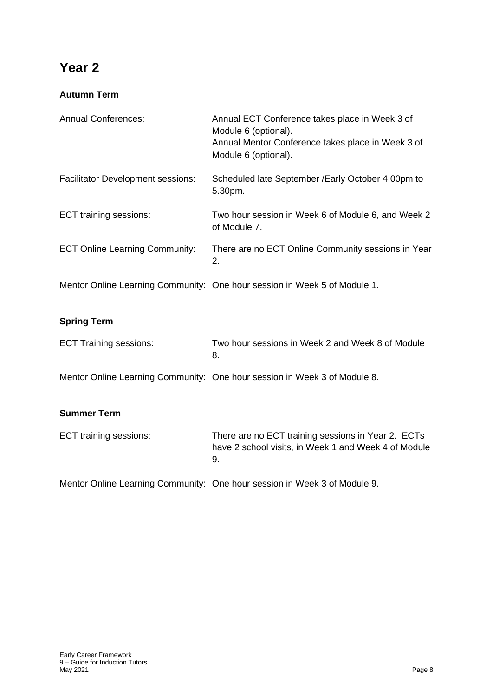# **Year 2**

## **Autumn Term**

| <b>Annual Conferences:</b>               | Annual ECT Conference takes place in Week 3 of<br>Module 6 (optional).<br>Annual Mentor Conference takes place in Week 3 of<br>Module 6 (optional). |
|------------------------------------------|-----------------------------------------------------------------------------------------------------------------------------------------------------|
| <b>Facilitator Development sessions:</b> | Scheduled late September / Early October 4.00pm to<br>5.30pm.                                                                                       |
| ECT training sessions:                   | Two hour session in Week 6 of Module 6, and Week 2<br>of Module 7.                                                                                  |
| <b>ECT Online Learning Community:</b>    | There are no ECT Online Community sessions in Year<br>2.                                                                                            |
|                                          | Mentor Online Learning Community: One hour session in Week 5 of Module 1.                                                                           |
| <b>Spring Term</b>                       |                                                                                                                                                     |
| <b>ECT Training sessions:</b>            | Two hour sessions in Week 2 and Week 8 of Module<br>8.                                                                                              |
|                                          | Mentor Online Learning Community: One hour session in Week 3 of Module 8.                                                                           |

## **Summer Term**

| ECT training sessions: | There are no ECT training sessions in Year 2. ECTs   |
|------------------------|------------------------------------------------------|
|                        | have 2 school visits, in Week 1 and Week 4 of Module |
|                        |                                                      |

Mentor Online Learning Community: One hour session in Week 3 of Module 9.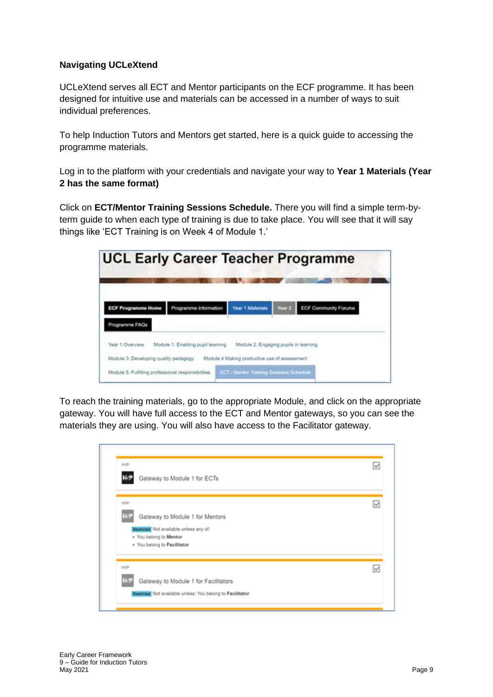#### **Navigating UCLeXtend**

UCLeXtend serves all ECT and Mentor participants on the ECF programme. It has been designed for intuitive use and materials can be accessed in a number of ways to suit individual preferences.

To help Induction Tutors and Mentors get started, here is a quick guide to accessing the programme materials.

Log in to the platform with your credentials and navigate your way to **Year 1 Materials (Year 2 has the same format)**

Click on **ECT/Mentor Training Sessions Schedule.** There you will find a simple term-byterm guide to when each type of training is due to take place. You will see that it will say things like 'ECT Training is on Week 4 of Module 1.'

|                                                                                             | <b>UCL Early Career Teacher Programme</b> |                                                                                          |        |                             |
|---------------------------------------------------------------------------------------------|-------------------------------------------|------------------------------------------------------------------------------------------|--------|-----------------------------|
| <b>ECF Programme Home</b>                                                                   | Programme Information                     | <b>Year 1 Materials</b>                                                                  | Year 2 | <b>ECF Community Forums</b> |
| hogramme FAQs<br>Year 1 Overview                                                            | Module 1: Enabling pupil learning         | Module 2: Engaging pupils in learning                                                    |        |                             |
| Module 3: Developing quality pedagogy<br>Module 5: Fulfilling professional responsibilities |                                           | Module 4 Making productive use of assessment<br>ECT / Mentor Training Sessions Schoolski |        |                             |

To reach the training materials, go to the appropriate Module, and click on the appropriate gateway. You will have full access to the ECT and Mentor gateways, so you can see the materials they are using. You will also have access to the Facilitator gateway.

| HVP                                                        | ☑ |
|------------------------------------------------------------|---|
| Gateway to Module 1 for ECTs                               |   |
| HVP                                                        | ⊽ |
| Gateway to Module 1 for Mentors                            |   |
| Restricted Not available unless any of:                    |   |
| . You belong to Mentor<br>. You belong to Facilitator      |   |
| <b>HVP</b>                                                 | ☑ |
| Gateway to Module 1 for Facilitators                       |   |
| Restricted Not available unless: You belong to Facilitator |   |